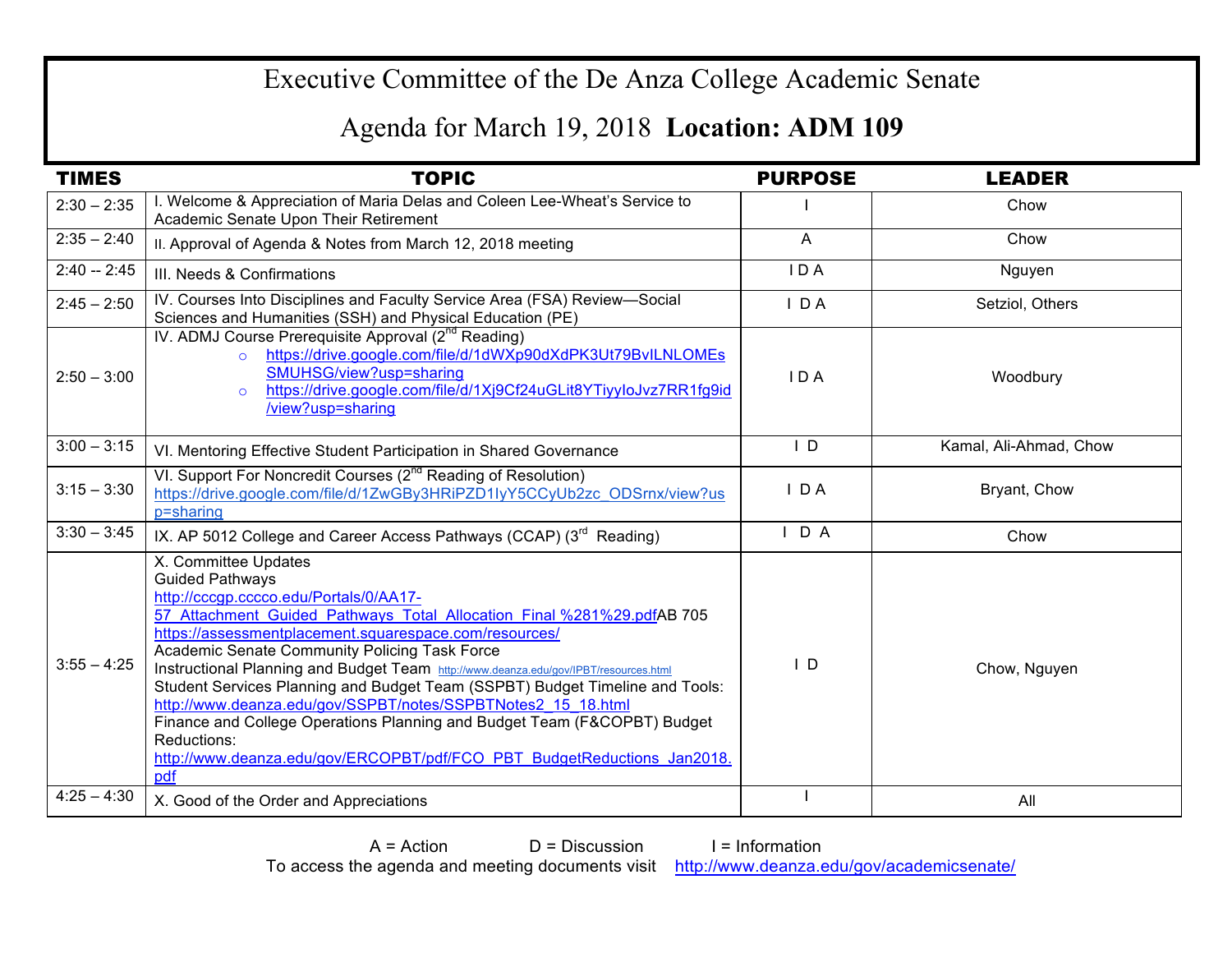## Executive Committee of the De Anza College Academic Senate

## Agenda for March 19, 2018 **Location: ADM 109**

| <b>TIMES</b>  | <b>TOPIC</b>                                                                                                                                                                                                                                                                                                                                                                                                                                                                                                                                                                                                                                                                                       | <b>PURPOSE</b> | <b>LEADER</b>          |
|---------------|----------------------------------------------------------------------------------------------------------------------------------------------------------------------------------------------------------------------------------------------------------------------------------------------------------------------------------------------------------------------------------------------------------------------------------------------------------------------------------------------------------------------------------------------------------------------------------------------------------------------------------------------------------------------------------------------------|----------------|------------------------|
| $2:30 - 2:35$ | I. Welcome & Appreciation of Maria Delas and Coleen Lee-Wheat's Service to<br>Academic Senate Upon Their Retirement                                                                                                                                                                                                                                                                                                                                                                                                                                                                                                                                                                                |                | Chow                   |
| $2:35 - 2:40$ | II. Approval of Agenda & Notes from March 12, 2018 meeting                                                                                                                                                                                                                                                                                                                                                                                                                                                                                                                                                                                                                                         | $\overline{A}$ | Chow                   |
| $2:40 - 2:45$ | III. Needs & Confirmations                                                                                                                                                                                                                                                                                                                                                                                                                                                                                                                                                                                                                                                                         | IDA            | Nguyen                 |
| $2:45 - 2:50$ | IV. Courses Into Disciplines and Faculty Service Area (FSA) Review-Social<br>Sciences and Humanities (SSH) and Physical Education (PE)                                                                                                                                                                                                                                                                                                                                                                                                                                                                                                                                                             | $I$ DA         | Setziol, Others        |
| $2:50 - 3:00$ | IV. ADMJ Course Prerequisite Approval (2 <sup>nd</sup> Reading)<br>https://drive.google.com/file/d/1dWXp90dXdPK3Ut79BvILNLOMEs<br>$\Omega$<br>SMUHSG/view?usp=sharing<br>https://drive.google.com/file/d/1Xj9Cf24uGLit8YTiyyloJvz7RR1fg9id<br>$\Omega$<br>/view?usp=sharing                                                                                                                                                                                                                                                                                                                                                                                                                        | IDA            | Woodbury               |
| $3:00 - 3:15$ | VI. Mentoring Effective Student Participation in Shared Governance                                                                                                                                                                                                                                                                                                                                                                                                                                                                                                                                                                                                                                 | $\mathsf{I}$ D | Kamal, Ali-Ahmad, Chow |
| $3:15 - 3:30$ | VI. Support For Noncredit Courses (2 <sup>nd</sup> Reading of Resolution)<br>https://drive.google.com/file/d/1ZwGBy3HRiPZD1IyY5CCyUb2zc_ODSrnx/view?us<br>p=sharing                                                                                                                                                                                                                                                                                                                                                                                                                                                                                                                                | $I$ DA         | Bryant, Chow           |
| $3:30 - 3:45$ | IX. AP 5012 College and Career Access Pathways (CCAP) (3 <sup>rd</sup> Reading)                                                                                                                                                                                                                                                                                                                                                                                                                                                                                                                                                                                                                    | D A<br>I.      | Chow                   |
| $3:55 - 4:25$ | X. Committee Updates<br><b>Guided Pathways</b><br>http://cccgp.cccco.edu/Portals/0/AA17-<br>57 Attachment Guided Pathways Total Allocation Final %281%29.pdfAB 705<br>https://assessmentplacement.squarespace.com/resources/<br>Academic Senate Community Policing Task Force<br>Instructional Planning and Budget Team http://www.deanza.edu/gov/IPBT/resources.html<br>Student Services Planning and Budget Team (SSPBT) Budget Timeline and Tools:<br>http://www.deanza.edu/gov/SSPBT/notes/SSPBTNotes2 15 18.html<br>Finance and College Operations Planning and Budget Team (F&COPBT) Budget<br>Reductions:<br>http://www.deanza.edu/gov/ERCOPBT/pdf/FCO PBT BudgetReductions Jan2018.<br>pdf | $\overline{D}$ | Chow, Nguyen           |
| $4:25 - 4:30$ | X. Good of the Order and Appreciations                                                                                                                                                                                                                                                                                                                                                                                                                                                                                                                                                                                                                                                             |                | All                    |